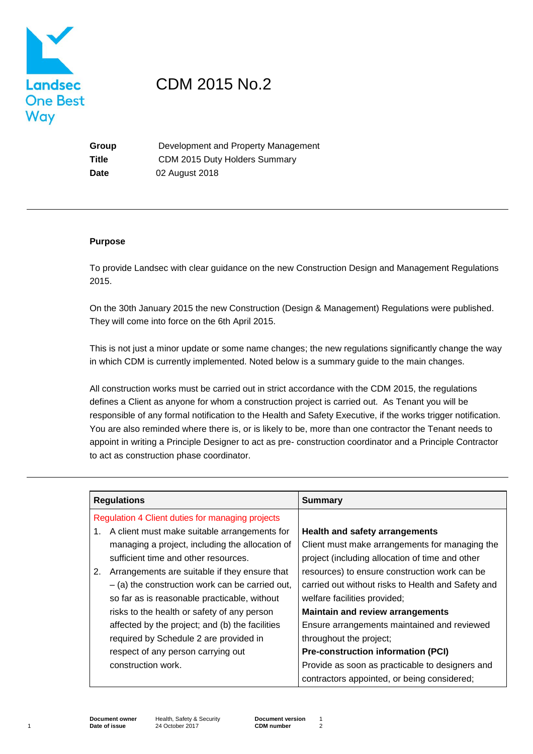

# CDM 2015 No.2

**Group** Development and Property Management **Title** CDM 2015 Duty Holders Summary **Date** 02 August 2018

## **Purpose**

To provide Landsec with clear guidance on the new Construction Design and Management Regulations 2015.

On the 30th January 2015 the new Construction (Design & Management) Regulations were published. They will come into force on the 6th April 2015.

This is not just a minor update or some name changes; the new regulations significantly change the way in which CDM is currently implemented. Noted below is a summary guide to the main changes.

All construction works must be carried out in strict accordance with the CDM 2015, the regulations defines a Client as anyone for whom a construction project is carried out. As Tenant you will be responsible of any formal notification to the Health and Safety Executive, if the works trigger notification. You are also reminded where there is, or is likely to be, more than one contractor the Tenant needs to appoint in writing a Principle Designer to act as pre- construction coordinator and a Principle Contractor to act as construction phase coordinator.

|    | <b>Regulations</b>                                | <b>Summary</b>                                     |
|----|---------------------------------------------------|----------------------------------------------------|
|    | Regulation 4 Client duties for managing projects  |                                                    |
|    | A client must make suitable arrangements for      | <b>Health and safety arrangements</b>              |
|    | managing a project, including the allocation of   | Client must make arrangements for managing the     |
|    | sufficient time and other resources.              | project (including allocation of time and other    |
| 2. | Arrangements are suitable if they ensure that     | resources) to ensure construction work can be      |
|    | $-$ (a) the construction work can be carried out, | carried out without risks to Health and Safety and |
|    | so far as is reasonable practicable, without      | welfare facilities provided;                       |
|    | risks to the health or safety of any person       | <b>Maintain and review arrangements</b>            |
|    | affected by the project; and (b) the facilities   | Ensure arrangements maintained and reviewed        |
|    | required by Schedule 2 are provided in            | throughout the project;                            |
|    | respect of any person carrying out                | <b>Pre-construction information (PCI)</b>          |
|    | construction work.                                | Provide as soon as practicable to designers and    |
|    |                                                   | contractors appointed, or being considered;        |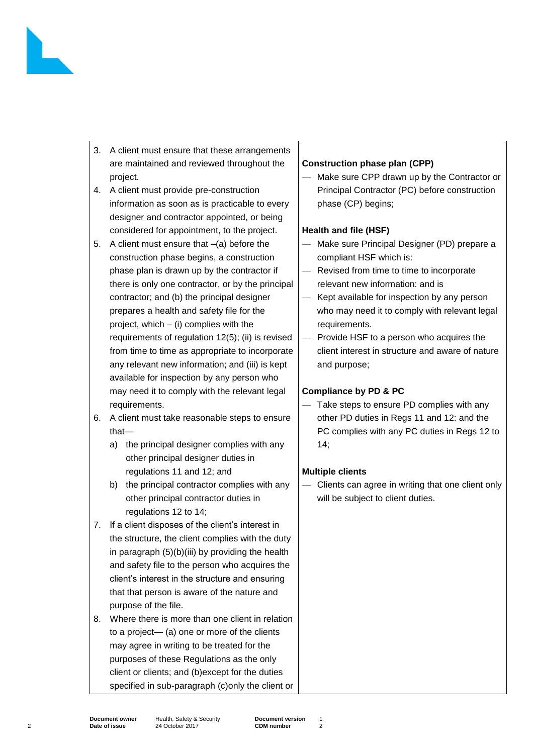

- 3. A client must ensure that these arrangements are maintained and reviewed throughout the project.
- 4. A client must provide pre-construction information as soon as is practicable to every designer and contractor appointed, or being considered for appointment, to the project.
- 5. A client must ensure that –(a) before the construction phase begins, a construction phase plan is drawn up by the contractor if there is only one contractor, or by the principal contractor; and (b) the principal designer prepares a health and safety file for the project, which – (i) complies with the requirements of regulation 12(5); (ii) is revised from time to time as appropriate to incorporate any relevant new information; and (iii) is kept available for inspection by any person who may need it to comply with the relevant legal requirements.
- 6. A client must take reasonable steps to ensure that
	- a) the principal designer complies with any other principal designer duties in regulations 11 and 12; and
	- b) the principal contractor complies with any other principal contractor duties in regulations 12 to 14;
- 7. If a client disposes of the client's interest in the structure, the client complies with the duty in paragraph (5)(b)(iii) by providing the health and safety file to the person who acquires the client's interest in the structure and ensuring that that person is aware of the nature and purpose of the file.
- 8. Where there is more than one client in relation to a project— (a) one or more of the clients may agree in writing to be treated for the purposes of these Regulations as the only client or clients; and (b)except for the duties specified in sub-paragraph (c)only the client or

## **Construction phase plan (CPP)**

Make sure CPP drawn up by the Contractor or Principal Contractor (PC) before construction phase (CP) begins;

## **Health and file (HSF)**

- Make sure Principal Designer (PD) prepare a compliant HSF which is:
- Revised from time to time to incorporate relevant new information: and is
- Kept available for inspection by any person who may need it to comply with relevant legal requirements.
	- Provide HSF to a person who acquires the client interest in structure and aware of nature and purpose;

# **Compliance by PD & PC**

Take steps to ensure PD complies with any other PD duties in Regs 11 and 12: and the PC complies with any PC duties in Regs 12 to 14;

# **Multiple clients**

Clients can agree in writing that one client only will be subject to client duties.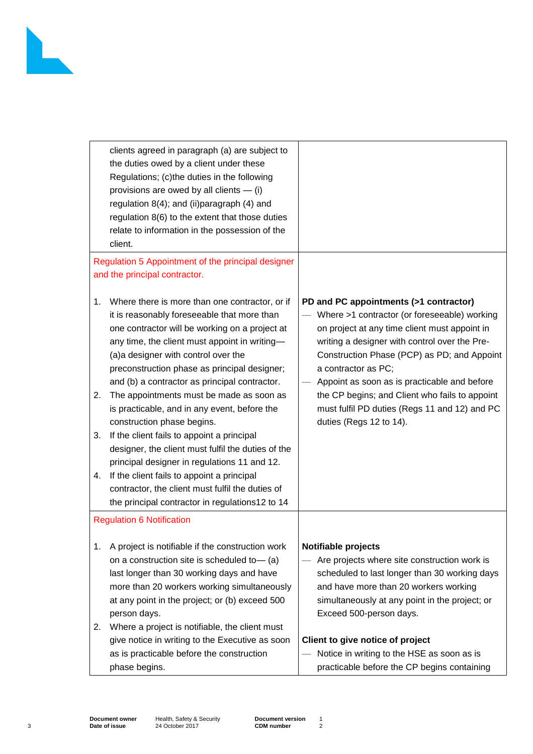|                      | clients agreed in paragraph (a) are subject to<br>the duties owed by a client under these<br>Regulations; (c)the duties in the following<br>provisions are owed by all clients $-$ (i)<br>regulation 8(4); and (ii)paragraph (4) and<br>regulation 8(6) to the extent that those duties<br>relate to information in the possession of the<br>client.                                                                                                                                                                                                                                                                                                                                                                                                                         |                                                                                                                                                                                                                                                                                                                                                                                                                                              |
|----------------------|------------------------------------------------------------------------------------------------------------------------------------------------------------------------------------------------------------------------------------------------------------------------------------------------------------------------------------------------------------------------------------------------------------------------------------------------------------------------------------------------------------------------------------------------------------------------------------------------------------------------------------------------------------------------------------------------------------------------------------------------------------------------------|----------------------------------------------------------------------------------------------------------------------------------------------------------------------------------------------------------------------------------------------------------------------------------------------------------------------------------------------------------------------------------------------------------------------------------------------|
|                      | Regulation 5 Appointment of the principal designer<br>and the principal contractor.                                                                                                                                                                                                                                                                                                                                                                                                                                                                                                                                                                                                                                                                                          |                                                                                                                                                                                                                                                                                                                                                                                                                                              |
| 1.<br>2.<br>3.<br>4. | Where there is more than one contractor, or if<br>it is reasonably foreseeable that more than<br>one contractor will be working on a project at<br>any time, the client must appoint in writing-<br>(a) a designer with control over the<br>preconstruction phase as principal designer;<br>and (b) a contractor as principal contractor.<br>The appointments must be made as soon as<br>is practicable, and in any event, before the<br>construction phase begins.<br>If the client fails to appoint a principal<br>designer, the client must fulfil the duties of the<br>principal designer in regulations 11 and 12.<br>If the client fails to appoint a principal<br>contractor, the client must fulfil the duties of<br>the principal contractor in regulations12 to 14 | PD and PC appointments (>1 contractor)<br>Where >1 contractor (or foreseeable) working<br>on project at any time client must appoint in<br>writing a designer with control over the Pre-<br>Construction Phase (PCP) as PD; and Appoint<br>a contractor as PC;<br>Appoint as soon as is practicable and before<br>the CP begins; and Client who fails to appoint<br>must fulfil PD duties (Regs 11 and 12) and PC<br>duties (Regs 12 to 14). |
|                      | <b>Regulation 6 Notification</b>                                                                                                                                                                                                                                                                                                                                                                                                                                                                                                                                                                                                                                                                                                                                             |                                                                                                                                                                                                                                                                                                                                                                                                                                              |
| 1.<br>2.             | A project is notifiable if the construction work<br>on a construction site is scheduled to- (a)<br>last longer than 30 working days and have<br>more than 20 workers working simultaneously<br>at any point in the project; or (b) exceed 500<br>person days.<br>Where a project is notifiable, the client must                                                                                                                                                                                                                                                                                                                                                                                                                                                              | Notifiable projects<br>Are projects where site construction work is<br>scheduled to last longer than 30 working days<br>and have more than 20 workers working<br>simultaneously at any point in the project; or<br>Exceed 500-person days.                                                                                                                                                                                                   |
|                      | give notice in writing to the Executive as soon<br>as is practicable before the construction<br>phase begins.                                                                                                                                                                                                                                                                                                                                                                                                                                                                                                                                                                                                                                                                | Client to give notice of project<br>Notice in writing to the HSE as soon as is<br>practicable before the CP begins containing                                                                                                                                                                                                                                                                                                                |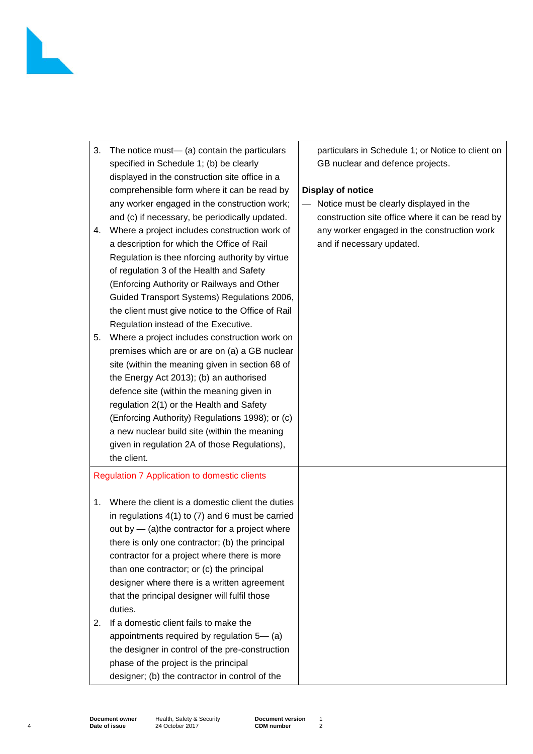

| 3. | The notice must— (a) contain the particulars<br>specified in Schedule 1; (b) be clearly<br>displayed in the construction site office in a | particulars in Schedule 1; or Notice to client on<br>GB nuclear and defence projects. |
|----|-------------------------------------------------------------------------------------------------------------------------------------------|---------------------------------------------------------------------------------------|
|    | comprehensible form where it can be read by                                                                                               | <b>Display of notice</b>                                                              |
|    | any worker engaged in the construction work;                                                                                              | Notice must be clearly displayed in the                                               |
|    | and (c) if necessary, be periodically updated.                                                                                            | construction site office where it can be read by                                      |
| 4. | Where a project includes construction work of                                                                                             | any worker engaged in the construction work                                           |
|    | a description for which the Office of Rail                                                                                                | and if necessary updated.                                                             |
|    | Regulation is thee nforcing authority by virtue                                                                                           |                                                                                       |
|    | of regulation 3 of the Health and Safety                                                                                                  |                                                                                       |
|    | (Enforcing Authority or Railways and Other                                                                                                |                                                                                       |
|    | Guided Transport Systems) Regulations 2006,                                                                                               |                                                                                       |
|    | the client must give notice to the Office of Rail                                                                                         |                                                                                       |
|    | Regulation instead of the Executive.                                                                                                      |                                                                                       |
| 5. | Where a project includes construction work on                                                                                             |                                                                                       |
|    | premises which are or are on (a) a GB nuclear                                                                                             |                                                                                       |
|    | site (within the meaning given in section 68 of                                                                                           |                                                                                       |
|    | the Energy Act 2013); (b) an authorised                                                                                                   |                                                                                       |
|    | defence site (within the meaning given in                                                                                                 |                                                                                       |
|    | regulation 2(1) or the Health and Safety                                                                                                  |                                                                                       |
|    | (Enforcing Authority) Regulations 1998); or (c)                                                                                           |                                                                                       |
|    | a new nuclear build site (within the meaning                                                                                              |                                                                                       |
|    | given in regulation 2A of those Regulations),                                                                                             |                                                                                       |
|    | the client.                                                                                                                               |                                                                                       |
|    | <b>Regulation 7 Application to domestic clients</b>                                                                                       |                                                                                       |
|    |                                                                                                                                           |                                                                                       |
| 1. | Where the client is a domestic client the duties                                                                                          |                                                                                       |
|    | in regulations $4(1)$ to (7) and 6 must be carried                                                                                        |                                                                                       |
|    | out by - (a) the contractor for a project where                                                                                           |                                                                                       |
|    | there is only one contractor; (b) the principal                                                                                           |                                                                                       |
|    | contractor for a project where there is more                                                                                              |                                                                                       |
|    | than one contractor; or (c) the principal                                                                                                 |                                                                                       |
|    | designer where there is a written agreement                                                                                               |                                                                                       |
|    | that the principal designer will fulfil those                                                                                             |                                                                                       |
|    | duties.                                                                                                                                   |                                                                                       |
| 2. | If a domestic client fails to make the                                                                                                    |                                                                                       |
|    | appointments required by regulation 5- (a)                                                                                                |                                                                                       |
|    | the designer in control of the pre-construction                                                                                           |                                                                                       |
|    | phase of the project is the principal                                                                                                     |                                                                                       |
|    | designer; (b) the contractor in control of the                                                                                            |                                                                                       |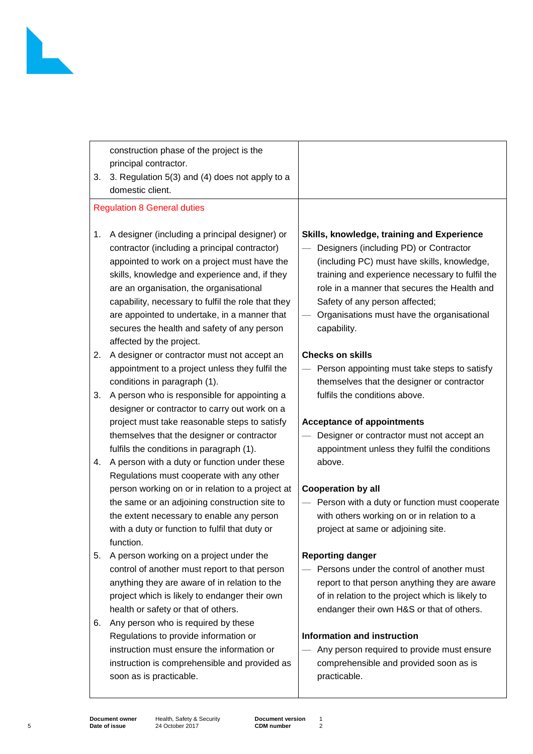

construction phase of the project is the principal contractor.

3. 3. Regulation 5(3) and (4) does not apply to a domestic client.

### Regulation 8 General duties

- 1. A designer (including a principal designer) or contractor (including a principal contractor) appointed to work on a project must have the skills, knowledge and experience and, if they are an organisation, the organisational capability, necessary to fulfil the role that they are appointed to undertake, in a manner that secures the health and safety of any person affected by the project.
- 2. A designer or contractor must not accept an appointment to a project unless they fulfil the conditions in paragraph (1).
- 3. A person who is responsible for appointing a designer or contractor to carry out work on a project must take reasonable steps to satisfy themselves that the designer or contractor fulfils the conditions in paragraph (1).
- 4. A person with a duty or function under these Regulations must cooperate with any other person working on or in relation to a project at the same or an adjoining construction site to the extent necessary to enable any person with a duty or function to fulfil that duty or function.
- 5. A person working on a project under the control of another must report to that person anything they are aware of in relation to the project which is likely to endanger their own health or safety or that of others.
- 6. Any person who is required by these Regulations to provide information or instruction must ensure the information or instruction is comprehensible and provided as soon as is practicable.

## **Skills, knowledge, training and Experience**

- Designers (including PD) or Contractor
	- (including PC) must have skills, knowledge, training and experience necessary to fulfil the role in a manner that secures the Health and Safety of any person affected;
- Organisations must have the organisational capability.

## **Checks on skills**

Person appointing must take steps to satisfy themselves that the designer or contractor fulfils the conditions above.

### **Acceptance of appointments**

Designer or contractor must not accept an appointment unless they fulfil the conditions above.

## **Cooperation by all**

Person with a duty or function must cooperate with others working on or in relation to a project at same or adjoining site.

## **Reporting danger**

— Persons under the control of another must report to that person anything they are aware of in relation to the project which is likely to endanger their own H&S or that of others.

### **Information and instruction**

Any person required to provide must ensure comprehensible and provided soon as is practicable.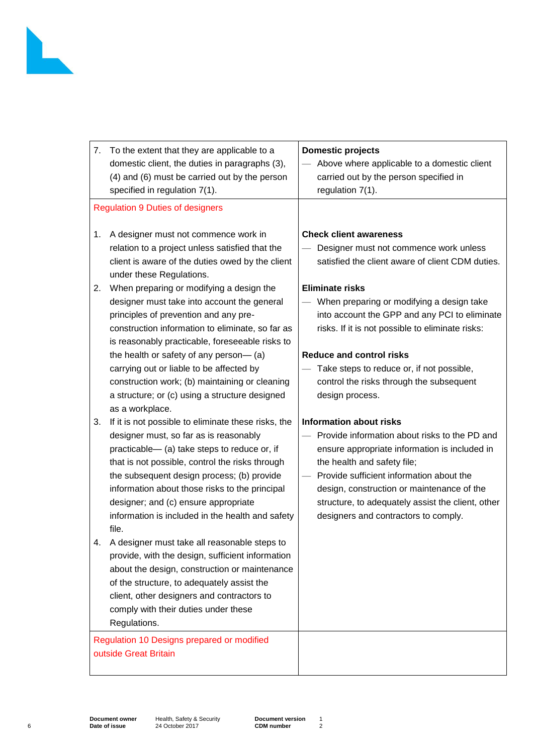

| 7.                                                                  | To the extent that they are applicable to a<br>domestic client, the duties in paragraphs (3),<br>(4) and (6) must be carried out by the person<br>specified in regulation 7(1).                                                                                                                                                                                                                       | <b>Domestic projects</b><br>Above where applicable to a domestic client<br>carried out by the person specified in<br>regulation 7(1).                                                                                                                                                                                                                  |
|---------------------------------------------------------------------|-------------------------------------------------------------------------------------------------------------------------------------------------------------------------------------------------------------------------------------------------------------------------------------------------------------------------------------------------------------------------------------------------------|--------------------------------------------------------------------------------------------------------------------------------------------------------------------------------------------------------------------------------------------------------------------------------------------------------------------------------------------------------|
|                                                                     | <b>Regulation 9 Duties of designers</b>                                                                                                                                                                                                                                                                                                                                                               |                                                                                                                                                                                                                                                                                                                                                        |
| 1.                                                                  | A designer must not commence work in<br>relation to a project unless satisfied that the<br>client is aware of the duties owed by the client<br>under these Regulations.                                                                                                                                                                                                                               | <b>Check client awareness</b><br>Designer must not commence work unless<br>satisfied the client aware of client CDM duties.                                                                                                                                                                                                                            |
| 2.                                                                  | When preparing or modifying a design the<br>designer must take into account the general<br>principles of prevention and any pre-<br>construction information to eliminate, so far as<br>is reasonably practicable, foreseeable risks to<br>the health or safety of any person-(a)<br>carrying out or liable to be affected by                                                                         | <b>Eliminate risks</b><br>When preparing or modifying a design take<br>into account the GPP and any PCI to eliminate<br>risks. If it is not possible to eliminate risks:<br>Reduce and control risks<br>Take steps to reduce or, if not possible,                                                                                                      |
|                                                                     | construction work; (b) maintaining or cleaning<br>a structure; or (c) using a structure designed<br>as a workplace.                                                                                                                                                                                                                                                                                   | control the risks through the subsequent<br>design process.                                                                                                                                                                                                                                                                                            |
| 3.                                                                  | If it is not possible to eliminate these risks, the<br>designer must, so far as is reasonably<br>practicable- (a) take steps to reduce or, if<br>that is not possible, control the risks through<br>the subsequent design process; (b) provide<br>information about those risks to the principal<br>designer; and (c) ensure appropriate<br>information is included in the health and safety<br>file. | <b>Information about risks</b><br>Provide information about risks to the PD and<br>ensure appropriate information is included in<br>the health and safety file;<br>Provide sufficient information about the<br>design, construction or maintenance of the<br>structure, to adequately assist the client, other<br>designers and contractors to comply. |
| 4.                                                                  | A designer must take all reasonable steps to<br>provide, with the design, sufficient information<br>about the design, construction or maintenance<br>of the structure, to adequately assist the<br>client, other designers and contractors to<br>comply with their duties under these<br>Regulations.                                                                                                 |                                                                                                                                                                                                                                                                                                                                                        |
| Regulation 10 Designs prepared or modified<br>outside Great Britain |                                                                                                                                                                                                                                                                                                                                                                                                       |                                                                                                                                                                                                                                                                                                                                                        |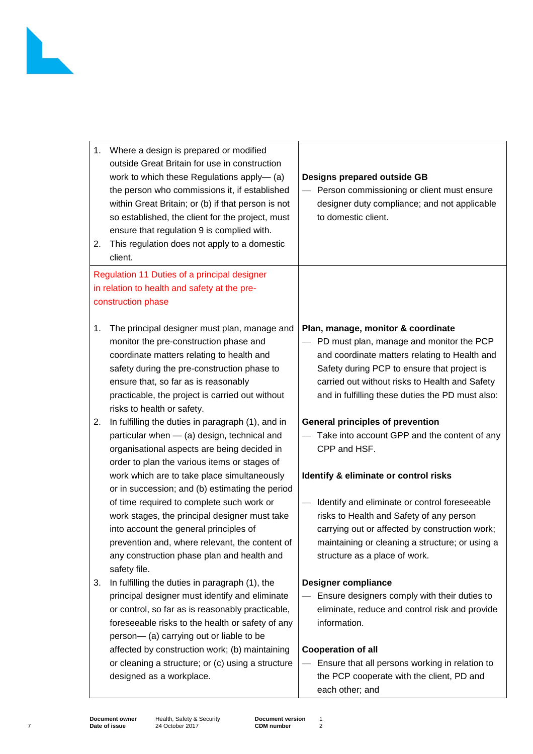

| 1.<br>2. | Where a design is prepared or modified<br>outside Great Britain for use in construction<br>work to which these Regulations apply- (a)<br>the person who commissions it, if established<br>within Great Britain; or (b) if that person is not<br>so established, the client for the project, must<br>ensure that regulation 9 is complied with.<br>This regulation does not apply to a domestic<br>client. | <b>Designs prepared outside GB</b><br>Person commissioning or client must ensure<br>designer duty compliance; and not applicable<br>to domestic client. |
|----------|-----------------------------------------------------------------------------------------------------------------------------------------------------------------------------------------------------------------------------------------------------------------------------------------------------------------------------------------------------------------------------------------------------------|---------------------------------------------------------------------------------------------------------------------------------------------------------|
|          | Regulation 11 Duties of a principal designer                                                                                                                                                                                                                                                                                                                                                              |                                                                                                                                                         |
|          |                                                                                                                                                                                                                                                                                                                                                                                                           |                                                                                                                                                         |
|          | in relation to health and safety at the pre-                                                                                                                                                                                                                                                                                                                                                              |                                                                                                                                                         |
|          | construction phase                                                                                                                                                                                                                                                                                                                                                                                        |                                                                                                                                                         |
|          |                                                                                                                                                                                                                                                                                                                                                                                                           |                                                                                                                                                         |
| 1.       | The principal designer must plan, manage and                                                                                                                                                                                                                                                                                                                                                              | Plan, manage, monitor & coordinate                                                                                                                      |
|          | monitor the pre-construction phase and                                                                                                                                                                                                                                                                                                                                                                    | PD must plan, manage and monitor the PCP                                                                                                                |
|          | coordinate matters relating to health and                                                                                                                                                                                                                                                                                                                                                                 | and coordinate matters relating to Health and                                                                                                           |
|          | safety during the pre-construction phase to                                                                                                                                                                                                                                                                                                                                                               | Safety during PCP to ensure that project is                                                                                                             |
|          | ensure that, so far as is reasonably                                                                                                                                                                                                                                                                                                                                                                      | carried out without risks to Health and Safety                                                                                                          |
|          | practicable, the project is carried out without                                                                                                                                                                                                                                                                                                                                                           | and in fulfilling these duties the PD must also:                                                                                                        |
|          | risks to health or safety.                                                                                                                                                                                                                                                                                                                                                                                |                                                                                                                                                         |
| 2.       | In fulfilling the duties in paragraph (1), and in                                                                                                                                                                                                                                                                                                                                                         | <b>General principles of prevention</b>                                                                                                                 |
|          | particular when - (a) design, technical and                                                                                                                                                                                                                                                                                                                                                               | Take into account GPP and the content of any                                                                                                            |
|          | organisational aspects are being decided in                                                                                                                                                                                                                                                                                                                                                               | CPP and HSF.                                                                                                                                            |
|          | order to plan the various items or stages of                                                                                                                                                                                                                                                                                                                                                              |                                                                                                                                                         |
|          | work which are to take place simultaneously                                                                                                                                                                                                                                                                                                                                                               | Identify & eliminate or control risks                                                                                                                   |
|          | or in succession; and (b) estimating the period                                                                                                                                                                                                                                                                                                                                                           |                                                                                                                                                         |
|          | of time required to complete such work or                                                                                                                                                                                                                                                                                                                                                                 | Identify and eliminate or control foreseeable                                                                                                           |
|          | work stages, the principal designer must take                                                                                                                                                                                                                                                                                                                                                             | risks to Health and Safety of any person                                                                                                                |
|          | into account the general principles of                                                                                                                                                                                                                                                                                                                                                                    | carrying out or affected by construction work;                                                                                                          |
|          | prevention and, where relevant, the content of                                                                                                                                                                                                                                                                                                                                                            | maintaining or cleaning a structure; or using a                                                                                                         |
|          | any construction phase plan and health and                                                                                                                                                                                                                                                                                                                                                                | structure as a place of work.                                                                                                                           |
|          | safety file.                                                                                                                                                                                                                                                                                                                                                                                              |                                                                                                                                                         |
| 3.       | In fulfilling the duties in paragraph (1), the                                                                                                                                                                                                                                                                                                                                                            | <b>Designer compliance</b>                                                                                                                              |
|          | principal designer must identify and eliminate                                                                                                                                                                                                                                                                                                                                                            | Ensure designers comply with their duties to                                                                                                            |
|          | or control, so far as is reasonably practicable,                                                                                                                                                                                                                                                                                                                                                          | eliminate, reduce and control risk and provide                                                                                                          |
|          | foreseeable risks to the health or safety of any                                                                                                                                                                                                                                                                                                                                                          | information.                                                                                                                                            |
|          |                                                                                                                                                                                                                                                                                                                                                                                                           |                                                                                                                                                         |
|          | person- (a) carrying out or liable to be                                                                                                                                                                                                                                                                                                                                                                  |                                                                                                                                                         |
|          | affected by construction work; (b) maintaining                                                                                                                                                                                                                                                                                                                                                            | <b>Cooperation of all</b>                                                                                                                               |
|          | or cleaning a structure; or (c) using a structure                                                                                                                                                                                                                                                                                                                                                         | Ensure that all persons working in relation to                                                                                                          |
|          | designed as a workplace.                                                                                                                                                                                                                                                                                                                                                                                  | the PCP cooperate with the client, PD and                                                                                                               |
|          |                                                                                                                                                                                                                                                                                                                                                                                                           | each other; and                                                                                                                                         |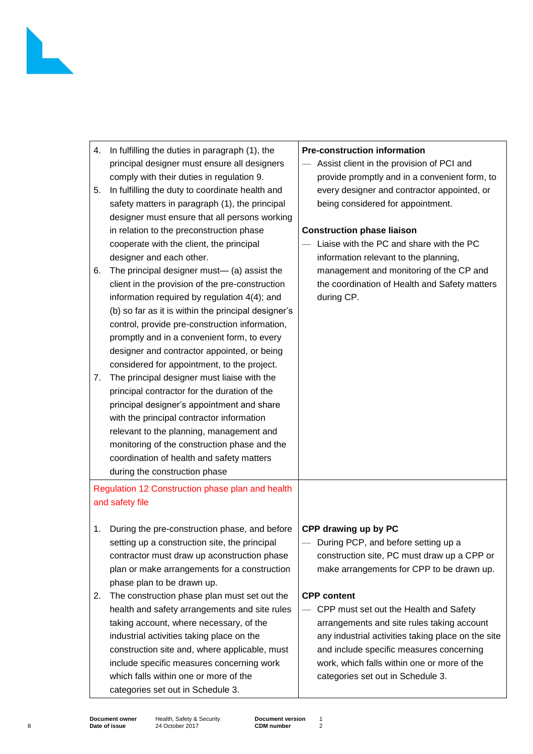

| 4.<br>5.<br>6.<br>7. | In fulfilling the duties in paragraph (1), the<br>principal designer must ensure all designers<br>comply with their duties in regulation 9.<br>In fulfilling the duty to coordinate health and<br>safety matters in paragraph (1), the principal<br>designer must ensure that all persons working<br>in relation to the preconstruction phase<br>cooperate with the client, the principal<br>designer and each other.<br>The principal designer must- $(a)$ assist the<br>client in the provision of the pre-construction<br>information required by regulation 4(4); and<br>(b) so far as it is within the principal designer's<br>control, provide pre-construction information,<br>promptly and in a convenient form, to every<br>designer and contractor appointed, or being<br>considered for appointment, to the project.<br>The principal designer must liaise with the<br>principal contractor for the duration of the<br>principal designer's appointment and share<br>with the principal contractor information<br>relevant to the planning, management and<br>monitoring of the construction phase and the | <b>Pre-construction information</b><br>Assist client in the provision of PCI and<br>provide promptly and in a convenient form, to<br>every designer and contractor appointed, or<br>being considered for appointment.<br><b>Construction phase liaison</b><br>Liaise with the PC and share with the PC<br>information relevant to the planning,<br>management and monitoring of the CP and<br>the coordination of Health and Safety matters<br>during CP. |
|----------------------|-----------------------------------------------------------------------------------------------------------------------------------------------------------------------------------------------------------------------------------------------------------------------------------------------------------------------------------------------------------------------------------------------------------------------------------------------------------------------------------------------------------------------------------------------------------------------------------------------------------------------------------------------------------------------------------------------------------------------------------------------------------------------------------------------------------------------------------------------------------------------------------------------------------------------------------------------------------------------------------------------------------------------------------------------------------------------------------------------------------------------|-----------------------------------------------------------------------------------------------------------------------------------------------------------------------------------------------------------------------------------------------------------------------------------------------------------------------------------------------------------------------------------------------------------------------------------------------------------|
|                      | coordination of health and safety matters                                                                                                                                                                                                                                                                                                                                                                                                                                                                                                                                                                                                                                                                                                                                                                                                                                                                                                                                                                                                                                                                             |                                                                                                                                                                                                                                                                                                                                                                                                                                                           |
|                      | during the construction phase                                                                                                                                                                                                                                                                                                                                                                                                                                                                                                                                                                                                                                                                                                                                                                                                                                                                                                                                                                                                                                                                                         |                                                                                                                                                                                                                                                                                                                                                                                                                                                           |
|                      | Regulation 12 Construction phase plan and health<br>and safety file                                                                                                                                                                                                                                                                                                                                                                                                                                                                                                                                                                                                                                                                                                                                                                                                                                                                                                                                                                                                                                                   |                                                                                                                                                                                                                                                                                                                                                                                                                                                           |
| 1.                   | During the pre-construction phase, and before<br>setting up a construction site, the principal<br>contractor must draw up aconstruction phase<br>plan or make arrangements for a construction<br>phase plan to be drawn up.                                                                                                                                                                                                                                                                                                                                                                                                                                                                                                                                                                                                                                                                                                                                                                                                                                                                                           | CPP drawing up by PC<br>— During PCP, and before setting up a<br>construction site, PC must draw up a CPP or<br>make arrangements for CPP to be drawn up.                                                                                                                                                                                                                                                                                                 |
| 2.                   | The construction phase plan must set out the<br>health and safety arrangements and site rules<br>taking account, where necessary, of the<br>industrial activities taking place on the<br>construction site and, where applicable, must<br>include specific measures concerning work<br>which falls within one or more of the<br>categories set out in Schedule 3.                                                                                                                                                                                                                                                                                                                                                                                                                                                                                                                                                                                                                                                                                                                                                     | <b>CPP content</b><br>CPP must set out the Health and Safety<br>arrangements and site rules taking account<br>any industrial activities taking place on the site<br>and include specific measures concerning<br>work, which falls within one or more of the<br>categories set out in Schedule 3.                                                                                                                                                          |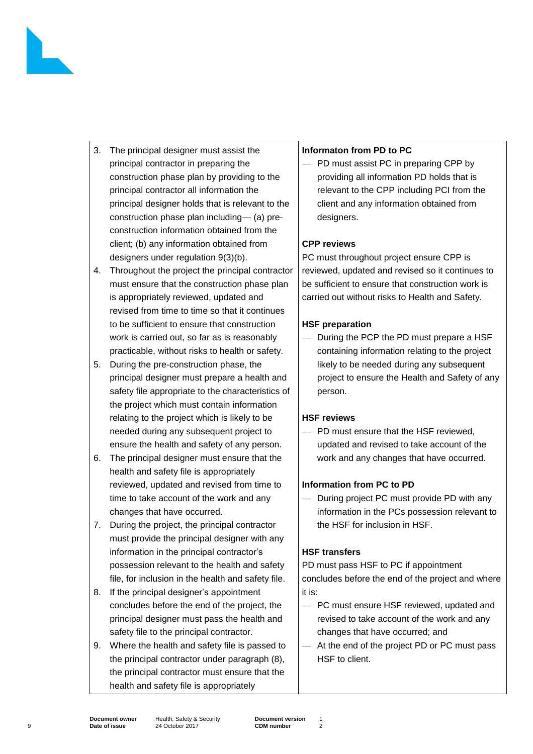

- 3. The principal designer must assist the principal contractor in preparing the construction phase plan by providing to the principal contractor all information the principal designer holds that is relevant to the construction phase plan including— (a) preconstruction information obtained from the client; (b) any information obtained from designers under regulation 9(3)(b).
- 4. Throughout the project the principal contractor must ensure that the construction phase plan is appropriately reviewed, updated and revised from time to time so that it continues to be sufficient to ensure that construction work is carried out, so far as is reasonably practicable, without risks to health or safety.
- 5. During the pre-construction phase, the principal designer must prepare a health and safety file appropriate to the characteristics of the project which must contain information relating to the project which is likely to be needed during any subsequent project to ensure the health and safety of any person.
- 6. The principal designer must ensure that the health and safety file is appropriately reviewed, updated and revised from time to time to take account of the work and any changes that have occurred.
- 7. During the project, the principal contractor must provide the principal designer with any information in the principal contractor's possession relevant to the health and safety file, for inclusion in the health and safety file.
- 8. If the principal designer's appointment concludes before the end of the project, the principal designer must pass the health and safety file to the principal contractor.
- 9. Where the health and safety file is passed to the principal contractor under paragraph (8), the principal contractor must ensure that the health and safety file is appropriately

# **Informaton from PD to PC**

PD must assist PC in preparing CPP by providing all information PD holds that is relevant to the CPP including PCI from the client and any information obtained from designers.

# **CPP reviews**

PC must throughout project ensure CPP is reviewed, updated and revised so it continues to be sufficient to ensure that construction work is carried out without risks to Health and Safety.

## **HSF preparation**

— During the PCP the PD must prepare a HSF containing information relating to the project likely to be needed during any subsequent project to ensure the Health and Safety of any person.

## **HSF reviews**

— PD must ensure that the HSF reviewed, updated and revised to take account of the work and any changes that have occurred.

## **Information from PC to PD**

— During project PC must provide PD with any information in the PCs possession relevant to the HSF for inclusion in HSF.

## **HSF transfers**

PD must pass HSF to PC if appointment concludes before the end of the project and where it is:

- PC must ensure HSF reviewed, updated and revised to take account of the work and any changes that have occurred; and
- At the end of the project PD or PC must pass HSF to client.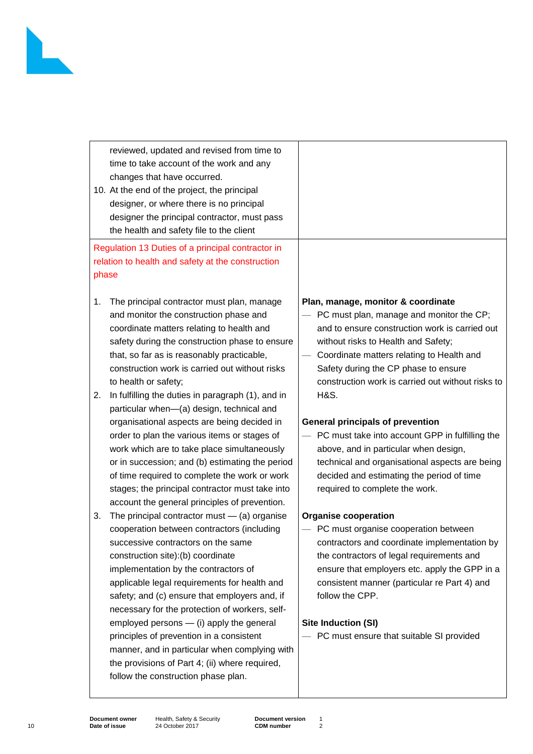|          | reviewed, updated and revised from time to<br>time to take account of the work and any<br>changes that have occurred.<br>10. At the end of the project, the principal<br>designer, or where there is no principal<br>designer the principal contractor, must pass<br>the health and safety file to the client                                                                                                                                                                                                                                                                                                                                                                                                      |                                                                                                                                                                                                                                                                                                                                                                                                                                                                                                                                                                                                              |
|----------|--------------------------------------------------------------------------------------------------------------------------------------------------------------------------------------------------------------------------------------------------------------------------------------------------------------------------------------------------------------------------------------------------------------------------------------------------------------------------------------------------------------------------------------------------------------------------------------------------------------------------------------------------------------------------------------------------------------------|--------------------------------------------------------------------------------------------------------------------------------------------------------------------------------------------------------------------------------------------------------------------------------------------------------------------------------------------------------------------------------------------------------------------------------------------------------------------------------------------------------------------------------------------------------------------------------------------------------------|
|          | Regulation 13 Duties of a principal contractor in<br>relation to health and safety at the construction<br>phase                                                                                                                                                                                                                                                                                                                                                                                                                                                                                                                                                                                                    |                                                                                                                                                                                                                                                                                                                                                                                                                                                                                                                                                                                                              |
| 1.<br>2. | The principal contractor must plan, manage<br>and monitor the construction phase and<br>coordinate matters relating to health and<br>safety during the construction phase to ensure<br>that, so far as is reasonably practicable,<br>construction work is carried out without risks<br>to health or safety;<br>In fulfilling the duties in paragraph (1), and in<br>particular when-(a) design, technical and<br>organisational aspects are being decided in<br>order to plan the various items or stages of<br>work which are to take place simultaneously<br>or in succession; and (b) estimating the period<br>of time required to complete the work or work<br>stages; the principal contractor must take into | Plan, manage, monitor & coordinate<br>PC must plan, manage and monitor the CP;<br>and to ensure construction work is carried out<br>without risks to Health and Safety;<br>Coordinate matters relating to Health and<br>Safety during the CP phase to ensure<br>construction work is carried out without risks to<br><b>H&amp;S.</b><br><b>General principals of prevention</b><br>PC must take into account GPP in fulfilling the<br>above, and in particular when design,<br>technical and organisational aspects are being<br>decided and estimating the period of time<br>required to complete the work. |
| 3.       | account the general principles of prevention.<br>The principal contractor must $-$ (a) organise<br>cooperation between contractors (including<br>successive contractors on the same<br>construction site):(b) coordinate<br>implementation by the contractors of<br>applicable legal requirements for health and<br>safety; and (c) ensure that employers and, if<br>necessary for the protection of workers, self-<br>employed persons - (i) apply the general<br>principles of prevention in a consistent<br>manner, and in particular when complying with<br>the provisions of Part 4; (ii) where required,                                                                                                     | <b>Organise cooperation</b><br>PC must organise cooperation between<br>contractors and coordinate implementation by<br>the contractors of legal requirements and<br>ensure that employers etc. apply the GPP in a<br>consistent manner (particular re Part 4) and<br>follow the CPP.<br><b>Site Induction (SI)</b><br>PC must ensure that suitable SI provided                                                                                                                                                                                                                                               |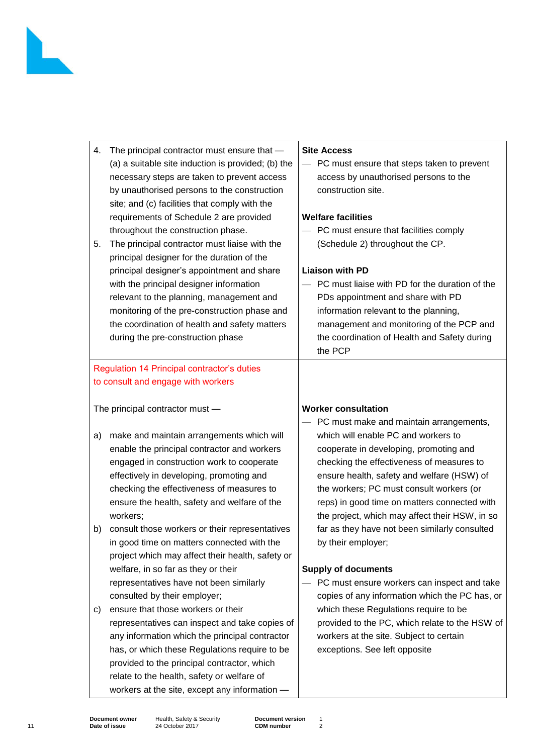

| 4.<br>5. | The principal contractor must ensure that -<br>(a) a suitable site induction is provided; (b) the<br>necessary steps are taken to prevent access<br>by unauthorised persons to the construction<br>site; and (c) facilities that comply with the<br>requirements of Schedule 2 are provided<br>throughout the construction phase.<br>The principal contractor must liaise with the<br>principal designer for the duration of the<br>principal designer's appointment and share<br>with the principal designer information<br>relevant to the planning, management and<br>monitoring of the pre-construction phase and<br>the coordination of health and safety matters<br>during the pre-construction phase | <b>Site Access</b><br>PC must ensure that steps taken to prevent<br>access by unauthorised persons to the<br>construction site.<br><b>Welfare facilities</b><br>$-$ PC must ensure that facilities comply<br>(Schedule 2) throughout the CP.<br><b>Liaison with PD</b><br>PC must liaise with PD for the duration of the<br>PDs appointment and share with PD<br>information relevant to the planning,<br>management and monitoring of the PCP and<br>the coordination of Health and Safety during<br>the PCP |
|----------|-------------------------------------------------------------------------------------------------------------------------------------------------------------------------------------------------------------------------------------------------------------------------------------------------------------------------------------------------------------------------------------------------------------------------------------------------------------------------------------------------------------------------------------------------------------------------------------------------------------------------------------------------------------------------------------------------------------|---------------------------------------------------------------------------------------------------------------------------------------------------------------------------------------------------------------------------------------------------------------------------------------------------------------------------------------------------------------------------------------------------------------------------------------------------------------------------------------------------------------|
|          | Regulation 14 Principal contractor's duties                                                                                                                                                                                                                                                                                                                                                                                                                                                                                                                                                                                                                                                                 |                                                                                                                                                                                                                                                                                                                                                                                                                                                                                                               |
|          | to consult and engage with workers                                                                                                                                                                                                                                                                                                                                                                                                                                                                                                                                                                                                                                                                          |                                                                                                                                                                                                                                                                                                                                                                                                                                                                                                               |
|          |                                                                                                                                                                                                                                                                                                                                                                                                                                                                                                                                                                                                                                                                                                             |                                                                                                                                                                                                                                                                                                                                                                                                                                                                                                               |
|          | The principal contractor must -                                                                                                                                                                                                                                                                                                                                                                                                                                                                                                                                                                                                                                                                             | <b>Worker consultation</b><br>PC must make and maintain arrangements,                                                                                                                                                                                                                                                                                                                                                                                                                                         |
| a)<br>b) | make and maintain arrangements which will<br>enable the principal contractor and workers<br>engaged in construction work to cooperate<br>effectively in developing, promoting and<br>checking the effectiveness of measures to<br>ensure the health, safety and welfare of the<br>workers;<br>consult those workers or their representatives<br>in good time on matters connected with the                                                                                                                                                                                                                                                                                                                  | which will enable PC and workers to<br>cooperate in developing, promoting and<br>checking the effectiveness of measures to<br>ensure health, safety and welfare (HSW) of<br>the workers; PC must consult workers (or<br>reps) in good time on matters connected with<br>the project, which may affect their HSW, in so<br>far as they have not been similarly consulted<br>by their employer;                                                                                                                 |
|          | project which may affect their health, safety or                                                                                                                                                                                                                                                                                                                                                                                                                                                                                                                                                                                                                                                            |                                                                                                                                                                                                                                                                                                                                                                                                                                                                                                               |
|          | welfare, in so far as they or their                                                                                                                                                                                                                                                                                                                                                                                                                                                                                                                                                                                                                                                                         | <b>Supply of documents</b>                                                                                                                                                                                                                                                                                                                                                                                                                                                                                    |
| C)       | representatives have not been similarly<br>consulted by their employer;<br>ensure that those workers or their<br>representatives can inspect and take copies of                                                                                                                                                                                                                                                                                                                                                                                                                                                                                                                                             | PC must ensure workers can inspect and take<br>copies of any information which the PC has, or<br>which these Regulations require to be<br>provided to the PC, which relate to the HSW of                                                                                                                                                                                                                                                                                                                      |
|          | any information which the principal contractor<br>has, or which these Regulations require to be<br>provided to the principal contractor, which<br>relate to the health, safety or welfare of<br>workers at the site, except any information -                                                                                                                                                                                                                                                                                                                                                                                                                                                               | workers at the site. Subject to certain<br>exceptions. See left opposite                                                                                                                                                                                                                                                                                                                                                                                                                                      |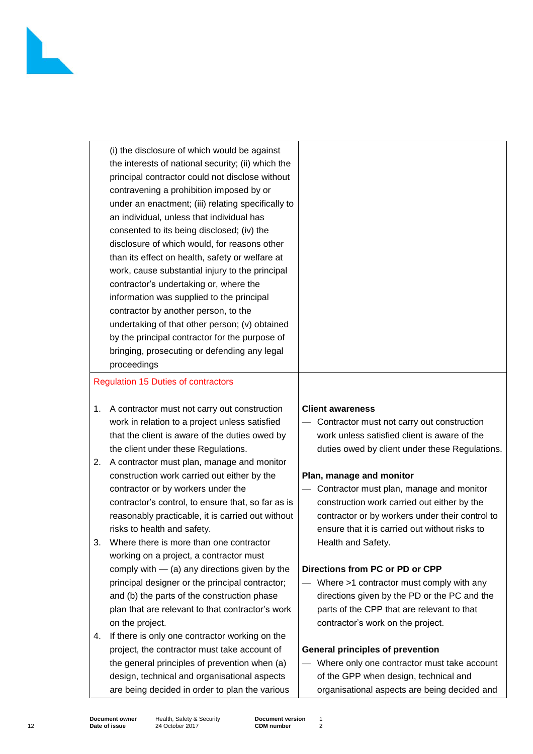

|          | (i) the disclosure of which would be against<br>the interests of national security; (ii) which the<br>principal contractor could not disclose without<br>contravening a prohibition imposed by or<br>under an enactment; (iii) relating specifically to<br>an individual, unless that individual has<br>consented to its being disclosed; (iv) the<br>disclosure of which would, for reasons other<br>than its effect on health, safety or welfare at<br>work, cause substantial injury to the principal<br>contractor's undertaking or, where the<br>information was supplied to the principal<br>contractor by another person, to the<br>undertaking of that other person; (v) obtained<br>by the principal contractor for the purpose of<br>bringing, prosecuting or defending any legal<br>proceedings |                                                                                                                                                                                                                                                |
|----------|------------------------------------------------------------------------------------------------------------------------------------------------------------------------------------------------------------------------------------------------------------------------------------------------------------------------------------------------------------------------------------------------------------------------------------------------------------------------------------------------------------------------------------------------------------------------------------------------------------------------------------------------------------------------------------------------------------------------------------------------------------------------------------------------------------|------------------------------------------------------------------------------------------------------------------------------------------------------------------------------------------------------------------------------------------------|
|          | <b>Regulation 15 Duties of contractors</b>                                                                                                                                                                                                                                                                                                                                                                                                                                                                                                                                                                                                                                                                                                                                                                 |                                                                                                                                                                                                                                                |
| 1.<br>2. | A contractor must not carry out construction<br>work in relation to a project unless satisfied<br>that the client is aware of the duties owed by<br>the client under these Regulations.                                                                                                                                                                                                                                                                                                                                                                                                                                                                                                                                                                                                                    | <b>Client awareness</b><br>Contractor must not carry out construction<br>work unless satisfied client is aware of the<br>duties owed by client under these Regulations.                                                                        |
| 3.       | A contractor must plan, manage and monitor<br>construction work carried out either by the<br>contractor or by workers under the<br>contractor's control, to ensure that, so far as is<br>reasonably practicable, it is carried out without<br>risks to health and safety.<br>Where there is more than one contractor                                                                                                                                                                                                                                                                                                                                                                                                                                                                                       | Plan, manage and monitor<br>Contractor must plan, manage and monitor<br>construction work carried out either by the<br>contractor or by workers under their control to<br>ensure that it is carried out without risks to<br>Health and Safety. |
|          | working on a project, a contractor must<br>comply with $-$ (a) any directions given by the<br>principal designer or the principal contractor;<br>and (b) the parts of the construction phase<br>plan that are relevant to that contractor's work<br>on the project.                                                                                                                                                                                                                                                                                                                                                                                                                                                                                                                                        | Directions from PC or PD or CPP<br>Where >1 contractor must comply with any<br>directions given by the PD or the PC and the<br>parts of the CPP that are relevant to that<br>contractor's work on the project.                                 |
| 4.       | If there is only one contractor working on the<br>project, the contractor must take account of<br>the general principles of prevention when (a)<br>design, technical and organisational aspects                                                                                                                                                                                                                                                                                                                                                                                                                                                                                                                                                                                                            | <b>General principles of prevention</b><br>Where only one contractor must take account<br>of the GPP when design, technical and                                                                                                                |

are being decided in order to plan the various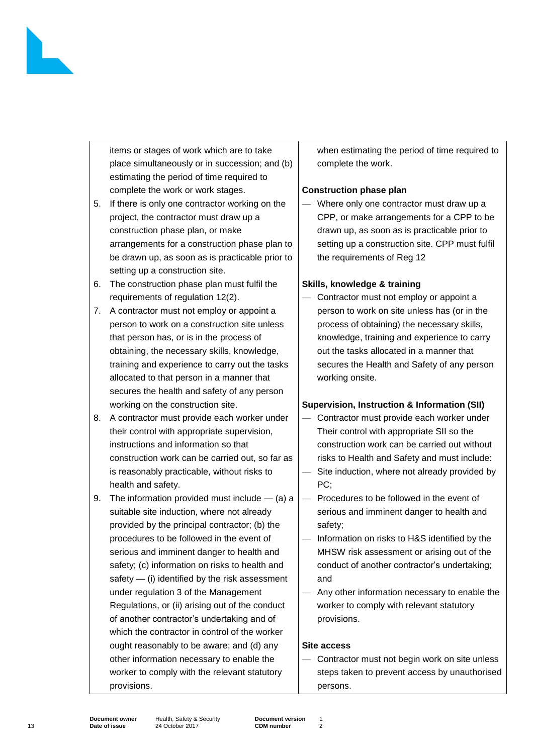

items or stages of work which are to take place simultaneously or in succession; and (b) estimating the period of time required to complete the work or work stages.

- 5. If there is only one contractor working on the project, the contractor must draw up a construction phase plan, or make arrangements for a construction phase plan to be drawn up, as soon as is practicable prior to setting up a construction site.
- 6. The construction phase plan must fulfil the requirements of regulation 12(2).
- 7. A contractor must not employ or appoint a person to work on a construction site unless that person has, or is in the process of obtaining, the necessary skills, knowledge, training and experience to carry out the tasks allocated to that person in a manner that secures the health and safety of any person working on the construction site.
- 8. A contractor must provide each worker under their control with appropriate supervision, instructions and information so that construction work can be carried out, so far as is reasonably practicable, without risks to health and safety.
- 9. The information provided must include  $-$  (a) a suitable site induction, where not already provided by the principal contractor; (b) the procedures to be followed in the event of serious and imminent danger to health and safety; (c) information on risks to health and safety  $-$  (i) identified by the risk assessment under regulation 3 of the Management Regulations, or (ii) arising out of the conduct of another contractor's undertaking and of which the contractor in control of the worker ought reasonably to be aware; and (d) any other information necessary to enable the worker to comply with the relevant statutory provisions.

when estimating the period of time required to complete the work.

# **Construction phase plan**

Where only one contractor must draw up a CPP, or make arrangements for a CPP to be drawn up, as soon as is practicable prior to setting up a construction site. CPP must fulfil the requirements of Reg 12

# **Skills, knowledge & training**

Contractor must not employ or appoint a person to work on site unless has (or in the process of obtaining) the necessary skills, knowledge, training and experience to carry out the tasks allocated in a manner that secures the Health and Safety of any person working onsite.

# **Supervision, Instruction & Information (SII)**

- Contractor must provide each worker under Their control with appropriate SII so the construction work can be carried out without risks to Health and Safety and must include: Site induction, where not already provided by PC;
- Procedures to be followed in the event of serious and imminent danger to health and safety;
- Information on risks to H&S identified by the MHSW risk assessment or arising out of the conduct of another contractor's undertaking; and
- Any other information necessary to enable the worker to comply with relevant statutory provisions.

## **Site access**

Contractor must not begin work on site unless steps taken to prevent access by unauthorised persons.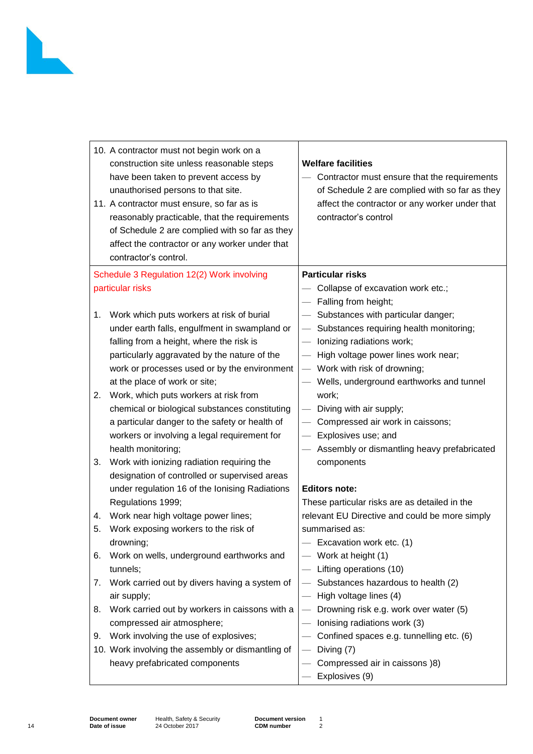

|    | 10. A contractor must not begin work on a<br>construction site unless reasonable steps<br>have been taken to prevent access by<br>unauthorised persons to that site.<br>11. A contractor must ensure, so far as is<br>reasonably practicable, that the requirements<br>of Schedule 2 are complied with so far as they<br>affect the contractor or any worker under that<br>contractor's control. | <b>Welfare facilities</b><br>Contractor must ensure that the requirements<br>of Schedule 2 are complied with so far as they<br>affect the contractor or any worker under that<br>contractor's control |
|----|--------------------------------------------------------------------------------------------------------------------------------------------------------------------------------------------------------------------------------------------------------------------------------------------------------------------------------------------------------------------------------------------------|-------------------------------------------------------------------------------------------------------------------------------------------------------------------------------------------------------|
|    | Schedule 3 Regulation 12(2) Work involving                                                                                                                                                                                                                                                                                                                                                       | <b>Particular risks</b>                                                                                                                                                                               |
|    | particular risks                                                                                                                                                                                                                                                                                                                                                                                 | Collapse of excavation work etc.;                                                                                                                                                                     |
|    |                                                                                                                                                                                                                                                                                                                                                                                                  | Falling from height;                                                                                                                                                                                  |
| 1. | Work which puts workers at risk of burial                                                                                                                                                                                                                                                                                                                                                        | Substances with particular danger;                                                                                                                                                                    |
|    | under earth falls, engulfment in swampland or                                                                                                                                                                                                                                                                                                                                                    | Substances requiring health monitoring;                                                                                                                                                               |
|    | falling from a height, where the risk is                                                                                                                                                                                                                                                                                                                                                         | lonizing radiations work;                                                                                                                                                                             |
|    | particularly aggravated by the nature of the                                                                                                                                                                                                                                                                                                                                                     | High voltage power lines work near;                                                                                                                                                                   |
|    | work or processes used or by the environment                                                                                                                                                                                                                                                                                                                                                     | - Work with risk of drowning;                                                                                                                                                                         |
|    | at the place of work or site;                                                                                                                                                                                                                                                                                                                                                                    | Wells, underground earthworks and tunnel                                                                                                                                                              |
| 2. | Work, which puts workers at risk from                                                                                                                                                                                                                                                                                                                                                            | work;                                                                                                                                                                                                 |
|    | chemical or biological substances constituting                                                                                                                                                                                                                                                                                                                                                   | Diving with air supply;                                                                                                                                                                               |
|    | a particular danger to the safety or health of                                                                                                                                                                                                                                                                                                                                                   | Compressed air work in caissons;                                                                                                                                                                      |
|    | workers or involving a legal requirement for                                                                                                                                                                                                                                                                                                                                                     | Explosives use; and                                                                                                                                                                                   |
|    | health monitoring;                                                                                                                                                                                                                                                                                                                                                                               | Assembly or dismantling heavy prefabricated                                                                                                                                                           |
| 3. | Work with ionizing radiation requiring the                                                                                                                                                                                                                                                                                                                                                       | components                                                                                                                                                                                            |
|    | designation of controlled or supervised areas                                                                                                                                                                                                                                                                                                                                                    |                                                                                                                                                                                                       |
|    | under regulation 16 of the Ionising Radiations                                                                                                                                                                                                                                                                                                                                                   | <b>Editors note:</b>                                                                                                                                                                                  |
|    | Regulations 1999;                                                                                                                                                                                                                                                                                                                                                                                | These particular risks are as detailed in the                                                                                                                                                         |
| 4. | Work near high voltage power lines;                                                                                                                                                                                                                                                                                                                                                              | relevant EU Directive and could be more simply                                                                                                                                                        |
| 5. | Work exposing workers to the risk of                                                                                                                                                                                                                                                                                                                                                             | summarised as:                                                                                                                                                                                        |
|    | drowning;                                                                                                                                                                                                                                                                                                                                                                                        | Excavation work etc. (1)<br>Work at height (1)                                                                                                                                                        |
| 6. | Work on wells, underground earthworks and<br>tunnels;                                                                                                                                                                                                                                                                                                                                            | Lifting operations (10)                                                                                                                                                                               |
| 7. | Work carried out by divers having a system of                                                                                                                                                                                                                                                                                                                                                    | Substances hazardous to health (2)                                                                                                                                                                    |
|    | air supply;                                                                                                                                                                                                                                                                                                                                                                                      | High voltage lines (4)                                                                                                                                                                                |
| 8. | Work carried out by workers in caissons with a                                                                                                                                                                                                                                                                                                                                                   | Drowning risk e.g. work over water (5)                                                                                                                                                                |
|    | compressed air atmosphere;                                                                                                                                                                                                                                                                                                                                                                       | Ionising radiations work (3)                                                                                                                                                                          |
| 9. | Work involving the use of explosives;                                                                                                                                                                                                                                                                                                                                                            | Confined spaces e.g. tunnelling etc. (6)                                                                                                                                                              |
|    | 10. Work involving the assembly or dismantling of                                                                                                                                                                                                                                                                                                                                                | Diving (7)                                                                                                                                                                                            |
|    | heavy prefabricated components                                                                                                                                                                                                                                                                                                                                                                   | Compressed air in caissons (8)                                                                                                                                                                        |
|    |                                                                                                                                                                                                                                                                                                                                                                                                  | Explosives (9)                                                                                                                                                                                        |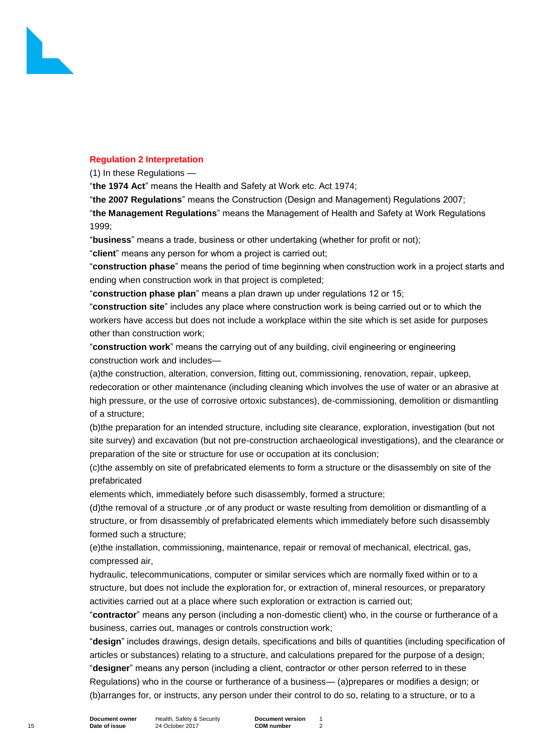### **Regulation 2 Interpretation**

(1) In these Regulations —

"**the 1974 Act**" means the Health and Safety at Work etc. Act 1974;

"**the 2007 Regulations**" means the Construction (Design and Management) Regulations 2007; "**the Management Regulations**" means the Management of Health and Safety at Work Regulations 1999;

"**business**" means a trade, business or other undertaking (whether for profit or not);

"**client**" means any person for whom a project is carried out;

"**construction phase**" means the period of time beginning when construction work in a project starts and ending when construction work in that project is completed;

"**construction phase plan**" means a plan drawn up under regulations 12 or 15;

"**construction site**" includes any place where construction work is being carried out or to which the workers have access but does not include a workplace within the site which is set aside for purposes other than construction work;

"**construction work**" means the carrying out of any building, civil engineering or engineering construction work and includes—

(a)the construction, alteration, conversion, fitting out, commissioning, renovation, repair, upkeep, redecoration or other maintenance (including cleaning which involves the use of water or an abrasive at high pressure, or the use of corrosive ortoxic substances), de-commissioning, demolition or dismantling of a structure;

(b)the preparation for an intended structure, including site clearance, exploration, investigation (but not site survey) and excavation (but not pre-construction archaeological investigations), and the clearance or preparation of the site or structure for use or occupation at its conclusion;

(c)the assembly on site of prefabricated elements to form a structure or the disassembly on site of the prefabricated

elements which, immediately before such disassembly, formed a structure;

(d)the removal of a structure ,or of any product or waste resulting from demolition or dismantling of a structure, or from disassembly of prefabricated elements which immediately before such disassembly formed such a structure;

(e)the installation, commissioning, maintenance, repair or removal of mechanical, electrical, gas, compressed air,

hydraulic, telecommunications, computer or similar services which are normally fixed within or to a structure, but does not include the exploration for, or extraction of, mineral resources, or preparatory activities carried out at a place where such exploration or extraction is carried out;

"**contractor**" means any person (including a non-domestic client) who, in the course or furtherance of a business, carries out, manages or controls construction work;

"**design**" includes drawings, design details, specifications and bills of quantities (including specification of articles or substances) relating to a structure, and calculations prepared for the purpose of a design; "**designer**" means any person (including a client, contractor or other person referred to in these Regulations) who in the course or furtherance of a business— (a)prepares or modifies a design; or (b)arranges for, or instructs, any person under their control to do so, relating to a structure, or to a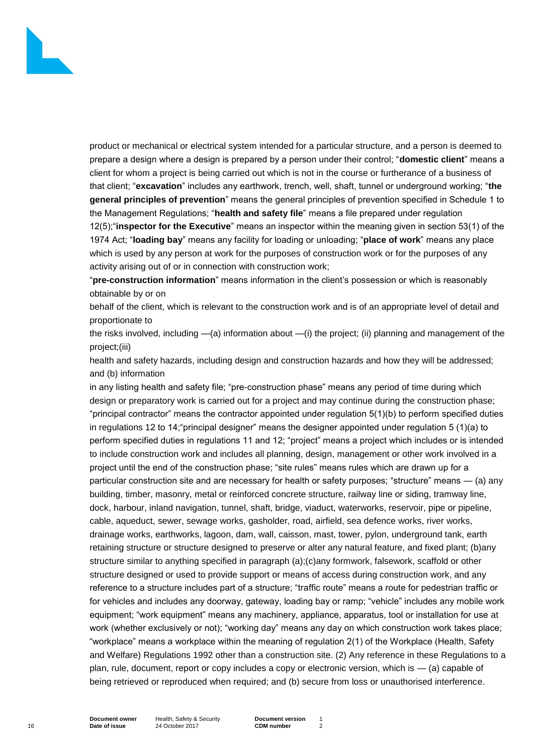

product or mechanical or electrical system intended for a particular structure, and a person is deemed to prepare a design where a design is prepared by a person under their control; "**domestic client**" means a client for whom a project is being carried out which is not in the course or furtherance of a business of that client; "**excavation**" includes any earthwork, trench, well, shaft, tunnel or underground working; "**the general principles of prevention**" means the general principles of prevention specified in Schedule 1 to the Management Regulations; "**health and safety file**" means a file prepared under regulation 12(5);"**inspector for the Executive**" means an inspector within the meaning given in section 53(1) of the 1974 Act; "**loading bay**" means any facility for loading or unloading; "**place of work**" means any place which is used by any person at work for the purposes of construction work or for the purposes of any activity arising out of or in connection with construction work;

"**pre-construction information**" means information in the client's possession or which is reasonably obtainable by or on

behalf of the client, which is relevant to the construction work and is of an appropriate level of detail and proportionate to

the risks involved, including  $-(a)$  information about  $-(i)$  the project; (ii) planning and management of the project;(iii)

health and safety hazards, including design and construction hazards and how they will be addressed; and (b) information

in any listing health and safety file; "pre-construction phase" means any period of time during which design or preparatory work is carried out for a project and may continue during the construction phase; "principal contractor" means the contractor appointed under regulation 5(1)(b) to perform specified duties in regulations 12 to 14;"principal designer" means the designer appointed under regulation 5 (1)(a) to perform specified duties in regulations 11 and 12; "project" means a project which includes or is intended to include construction work and includes all planning, design, management or other work involved in a project until the end of the construction phase; "site rules" means rules which are drawn up for a particular construction site and are necessary for health or safety purposes; "structure" means — (a) any building, timber, masonry, metal or reinforced concrete structure, railway line or siding, tramway line, dock, harbour, inland navigation, tunnel, shaft, bridge, viaduct, waterworks, reservoir, pipe or pipeline, cable, aqueduct, sewer, sewage works, gasholder, road, airfield, sea defence works, river works, drainage works, earthworks, lagoon, dam, wall, caisson, mast, tower, pylon, underground tank, earth retaining structure or structure designed to preserve or alter any natural feature, and fixed plant; (b)any structure similar to anything specified in paragraph (a);(c)any formwork, falsework, scaffold or other structure designed or used to provide support or means of access during construction work, and any reference to a structure includes part of a structure; "traffic route" means a route for pedestrian traffic or for vehicles and includes any doorway, gateway, loading bay or ramp; "vehicle" includes any mobile work equipment; "work equipment" means any machinery, appliance, apparatus, tool or installation for use at work (whether exclusively or not); "working day" means any day on which construction work takes place; "workplace" means a workplace within the meaning of regulation 2(1) of the Workplace (Health, Safety and Welfare) Regulations 1992 other than a construction site. (2) Any reference in these Regulations to a plan, rule, document, report or copy includes a copy or electronic version, which is — (a) capable of being retrieved or reproduced when required; and (b) secure from loss or unauthorised interference.

**Document owner** Health, Safety & Security **Document version** 1<br> **Date of issue** 24 October 2017 **CDM number** 2